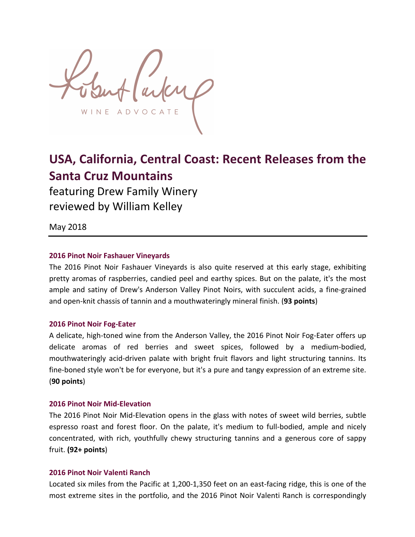ADVOCA

# USA, California, Central Coast: Recent Releases from the **Santa Cruz Mountains**

featuring Drew Family Winery reviewed by William Kelley

May 2018

# **2016 Pinot Noir Fashauer Vineyards**

The 2016 Pinot Noir Fashauer Vineyards is also quite reserved at this early stage, exhibiting pretty aromas of raspberries, candied peel and earthy spices. But on the palate, it's the most ample and satiny of Drew's Anderson Valley Pinot Noirs, with succulent acids, a fine-grained and open-knit chassis of tannin and a mouthwateringly mineral finish. (93 points)

## **2016 Pinot Noir Fog-Eater**

A delicate, high-toned wine from the Anderson Valley, the 2016 Pinot Noir Fog-Eater offers up delicate aromas of red berries and sweet spices, followed by a medium-bodied, mouthwateringly acid-driven palate with bright fruit flavors and light structuring tannins. Its fine-boned style won't be for everyone, but it's a pure and tangy expression of an extreme site. (**90 points**)

## **2016 Pinot Noir Mid-Elevation**

The 2016 Pinot Noir Mid-Elevation opens in the glass with notes of sweet wild berries, subtle espresso roast and forest floor. On the palate, it's medium to full-bodied, ample and nicely concentrated, with rich, youthfully chewy structuring tannins and a generous core of sappy fruit. **(92+ points**)

# **2016 Pinot Noir Valenti Ranch**

Located six miles from the Pacific at 1,200-1,350 feet on an east-facing ridge, this is one of the most extreme sites in the portfolio, and the 2016 Pinot Noir Valenti Ranch is correspondingly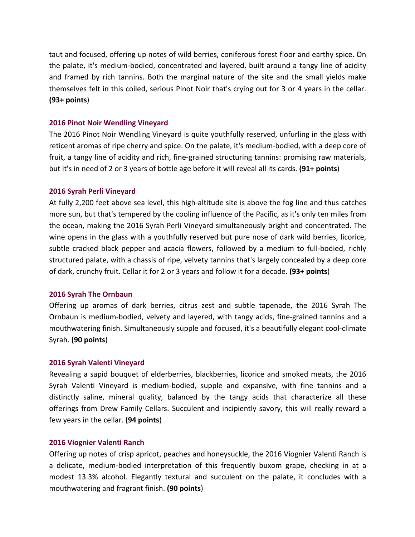taut and focused, offering up notes of wild berries, coniferous forest floor and earthy spice. On the palate, it's medium-bodied, concentrated and layered, built around a tangy line of acidity and framed by rich tannins. Both the marginal nature of the site and the small yields make themselves felt in this coiled, serious Pinot Noir that's crying out for 3 or 4 years in the cellar. **(93+ points**)

## **2016 Pinot Noir Wendling Vineyard**

The 2016 Pinot Noir Wendling Vineyard is quite youthfully reserved, unfurling in the glass with reticent aromas of ripe cherry and spice. On the palate, it's medium-bodied, with a deep core of fruit, a tangy line of acidity and rich, fine-grained structuring tannins: promising raw materials, but it's in need of 2 or 3 years of bottle age before it will reveal all its cards. **(91+ points)** 

## **2016 Syrah Perli Vineyard**

At fully 2,200 feet above sea level, this high-altitude site is above the fog line and thus catches more sun, but that's tempered by the cooling influence of the Pacific, as it's only ten miles from the ocean, making the 2016 Syrah Perli Vineyard simultaneously bright and concentrated. The wine opens in the glass with a youthfully reserved but pure nose of dark wild berries, licorice, subtle cracked black pepper and acacia flowers, followed by a medium to full-bodied, richly structured palate, with a chassis of ripe, velvety tannins that's largely concealed by a deep core of dark, crunchy fruit. Cellar it for 2 or 3 years and follow it for a decade. (93+ points)

# **2016 Syrah The Ornbaun**

Offering up aromas of dark berries, citrus zest and subtle tapenade, the 2016 Syrah The Ornbaun is medium-bodied, velvety and layered, with tangy acids, fine-grained tannins and a mouthwatering finish. Simultaneously supple and focused, it's a beautifully elegant cool-climate Syrah. **(90 points**)

## **2016 Syrah Valenti Vineyard**

Revealing a sapid bouquet of elderberries, blackberries, licorice and smoked meats, the 2016 Syrah Valenti Vineyard is medium-bodied, supple and expansive, with fine tannins and a distinctly saline, mineral quality, balanced by the tangy acids that characterize all these offerings from Drew Family Cellars. Succulent and incipiently savory, this will really reward a few years in the cellar. **(94 points**)

## **2016 Viognier Valenti Ranch**

Offering up notes of crisp apricot, peaches and honeysuckle, the 2016 Viognier Valenti Ranch is a delicate, medium-bodied interpretation of this frequently buxom grape, checking in at a modest 13.3% alcohol. Elegantly textural and succulent on the palate, it concludes with a mouthwatering and fragrant finish. **(90 points**)